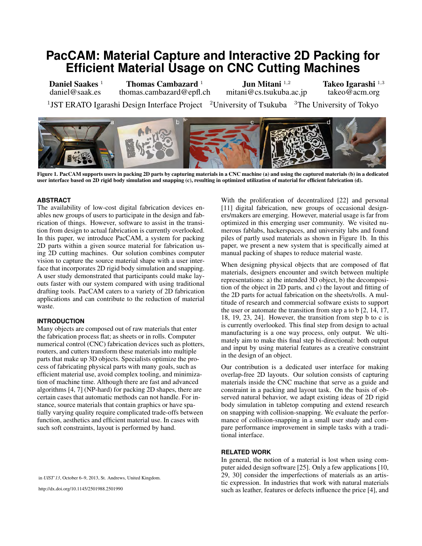# **PacCAM: Material Capture and Interactive 2D Packing for Efficient Material Usage on CNC Cutting Machines**

Daniel Saakes<sup>1</sup> daniel@saak.es Thomas Cambazard<sup>1</sup> thomas.cambazard@epfl.ch Jun Mitani <sup>1</sup>*,*<sup>2</sup> mitani@cs.tsukuba.ac.jp Takeo Igarashi <sup>1</sup>*,*<sup>3</sup> takeo@acm.org <sup>1</sup>JST ERATO Igarashi Design Interface Project <sup>2</sup>University of Tsukuba <sup>3</sup>The University of Tokyo



Figure 1. PacCAM supports users in packing 2D parts by capturing materials in a CNC machine (a) and using the captured materials (b) in a dedicated user interface based on 2D rigid body simulation and snapping (c), resulting in optimized utilization of material for efficient fabrication (d).

# **ABSTRACT**

The availability of low-cost digital fabrication devices enables new groups of users to participate in the design and fabrication of things. However, software to assist in the transition from design to actual fabrication is currently overlooked. In this paper, we introduce PacCAM, a system for packing 2D parts within a given source material for fabrication using 2D cutting machines. Our solution combines computer vision to capture the source material shape with a user interface that incorporates 2D rigid body simulation and snapping. A user study demonstrated that participants could make layouts faster with our system compared with using traditional drafting tools. PacCAM caters to a variety of 2D fabrication applications and can contribute to the reduction of material waste.

## **INTRODUCTION**

Many objects are composed out of raw materials that enter the fabrication process flat; as sheets or in rolls. Computer numerical control (CNC) fabrication devices such as plotters, routers, and cutters transform these materials into multiple parts that make up 3D objects. Specialists optimize the process of fabricating physical parts with many goals, such as efficient material use, avoid complex tooling, and minimization of machine time. Although there are fast and advanced algorithms [\[4,](#page-5-0) [7\]](#page-5-1) (NP-hard) for packing 2D shapes, there are certain cases that automatic methods can not handle. For instance, source materials that contain graphics or have spatially varying quality require complicated trade-offs between function, aesthetics and efficient material use. In cases with such soft constraints, layout is performed by hand.

in *UIST'13*, October 6–9, 2013, St. Andrews, United Kingdom.

http://dx.doi.org/10.1145/2501988.2501990

With the proliferation of decentralized [\[22\]](#page-5-2) and personal [\[11\]](#page-5-3) digital fabrication, new groups of occasional designers/makers are emerging. However, material usage is far from optimized in this emerging user community. We visited numerous fablabs, hackerspaces, and university labs and found piles of partly used materials as shown in Figure 1b. In this paper, we present a new system that is specifically aimed at manual packing of shapes to reduce material waste.

When designing physical objects that are composed of flat materials, designers encounter and switch between multiple representations: a) the intended 3D object, b) the decomposition of the object in 2D parts, and c) the layout and fitting of the 2D parts for actual fabrication on the sheets/rolls. A multitude of research and commercial software exists to support the user or automate the transition from step a to b [\[2,](#page-5-4) [14,](#page-5-5) [17,](#page-5-6) [18,](#page-5-7) [19,](#page-5-8) [23,](#page-5-9) [24\]](#page-5-10). However, the transition from step b to c is is currently overlooked. This final step from design to actual manufacturing is a one way process, only output. We ultimately aim to make this final step bi-directional: both output and input by using material features as a creative constraint in the design of an object.

Our contribution is a dedicated user interface for making overlap-free 2D layouts. Our solution consists of capturing materials inside the CNC machine that serve as a guide and constraint in a packing and layout task. On the basis of observed natural behavior, we adapt existing ideas of 2D rigid body simulation in tabletop computing and extend research on snapping with collision-snapping. We evaluate the performance of collision-snapping in a small user study and compare performance improvement in simple tasks with a traditional interface.

# **RELATED WORK**

In general, the notion of a material is lost when using computer aided design software [\[25\]](#page-5-11). Only a few applications [\[10,](#page-5-12) [29,](#page-5-13) [30\]](#page-5-14) consider the imperfections of materials as an artistic expression. In industries that work with natural materials such as leather, features or defects influence the price [\[4\]](#page-5-0), and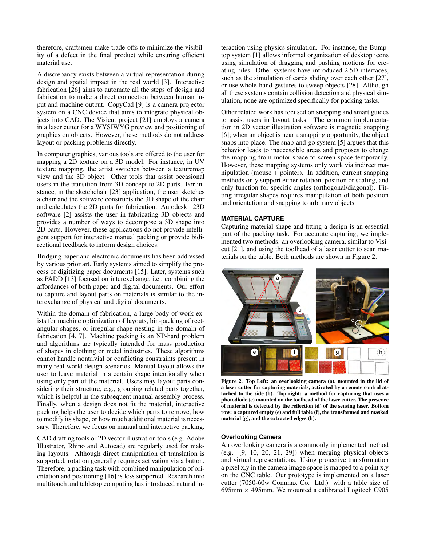therefore, craftsmen make trade-offs to minimize the visibility of a defect in the final product while ensuring efficient material use.

A discrepancy exists between a virtual representation during design and spatial impact in the real world [\[3\]](#page-5-15). Interactive fabrication [\[26\]](#page-5-16) aims to automate all the steps of design and fabrication to make a direct connection between human input and machine output. CopyCad [\[9\]](#page-5-17) is a camera projector system on a CNC device that aims to integrate physical objects into CAD. The Visicut project [\[21\]](#page-5-18) employs a camera in a laser cutter for a WYSIWYG preview and positioning of graphics on objects. However, these methods do not address layout or packing problems directly.

In computer graphics, various tools are offered to the user for mapping a 2D texture on a 3D model. For instance, in UV texture mapping, the artist switches between a texturemap view and the 3D object. Other tools that assist occasional users in the transition from 3D concept to 2D parts. For instance, in the sketchchair [\[23\]](#page-5-9) application, the user sketches a chair and the software constructs the 3D shape of the chair and calculates the 2D parts for fabrication. Autodesk 123D software [\[2\]](#page-5-4) assists the user in fabricating 3D objects and provides a number of ways to decompose a 3D shape into 2D parts. However, these applications do not provide intelligent support for interactive manual packing or provide bidirectional feedback to inform design choices.

Bridging paper and electronic documents has been addressed by various prior art. Early systems aimed to simplify the process of digitizing paper documents [\[15\]](#page-5-19). Later, systems such as PADD [\[13\]](#page-5-20) focused on interexchange, i.e., combining the affordances of both paper and digital documents. Our effort to capture and layout parts on materials is similar to the interexchange of physical and digital documents.

Within the domain of fabrication, a large body of work exists for machine optimization of layouts, bin-packing of rectangular shapes, or irregular shape nesting in the domain of fabrication [\[4,](#page-5-0) [7\]](#page-5-1). Machine packing is an NP-hard problem and algorithms are typically intended for mass production of shapes in clothing or metal industries. These algorithms cannot handle nontrivial or conflicting constraints present in many real-world design scenarios. Manual layout allows the user to leave material in a certain shape intentionally when using only part of the material. Users may layout parts considering their structure, e.g., grouping related parts together, which is helpful in the subsequent manual assembly process. Finally, when a design does not fit the material, interactive packing helps the user to decide which parts to remove, how to modify its shape, or how much additional material is necessary. Therefore, we focus on manual and interactive packing.

CAD drafting tools or 2D vector illustration tools (e.g. Adobe Illustrator, Rhino and Autocad) are regularly used for making layouts. Although direct manipulation of translation is supported, rotation generally requires activation via a button. Therefore, a packing task with combined manipulation of orientation and positioning [\[16\]](#page-5-21) is less supported. Research into multitouch and tabletop computing has introduced natural interaction using physics simulation. For instance, the Bumptop system [\[1\]](#page-5-22) allows informal organization of desktop icons using simulation of dragging and pushing motions for creating piles. Other systems have introduced 2.5D interfaces, such as the simulation of cards sliding over each other [\[27\]](#page-5-23), or use whole-hand gestures to sweep objects [\[28\]](#page-5-24). Although all these systems contain collision detection and physical simulation, none are optimized specifically for packing tasks.

Other related work has focused on snapping and smart guides to assist users in layout tasks. The common implementation in 2D vector illustration software is magnetic snapping [\[6\]](#page-5-25); when an object is near a snapping opportunity, the object snaps into place. The snap-and-go system [\[5\]](#page-5-26) argues that this behavior leads to inaccessible areas and proposes to change the mapping from motor space to screen space temporarily. However, these mapping systems only work via indirect manipulation (mouse + pointer). In addition, current snapping methods only support either rotation, position or scaling, and only function for specific angles (orthogonal/diagonal). Fitting irregular shapes requires manipulation of both position and orientation and snapping to arbitrary objects.

# **MATERIAL CAPTURE**

Capturing material shape and fitting a design is an essential part of the packing task. For accurate capturing, we implemented two methods: an overlooking camera, similar to Visicut [\[21\]](#page-5-18), and using the toolhead of a laser cutter to scan materials on the table. Both methods are shown in Figure [2.](#page-1-0)



Figure 2. Top Left: an overlooking camera (a), mounted in the lid of a laser cutter for capturing materials, activated by a remote control attached to the side (b). Top right: a method for capturing that uses a photodiode (c) mounted on the toolhead of the laser cutter. The presence of material is detected by the reflection (d) of the sensing laser. Bottom row: a captured empty (e) and full table (f), the transformed and masked material (g), and the extracted edges (h).

# <span id="page-1-0"></span>**Overlooking Camera**

An overlooking camera is a commonly implemented method (e.g.  $[9, 10, 20, 21, 29]$  $[9, 10, 20, 21, 29]$  $[9, 10, 20, 21, 29]$  $[9, 10, 20, 21, 29]$  $[9, 10, 20, 21, 29]$ ) when merging physical objects and virtual representations. Using projective transformation a pixel x,y in the camera image space is mapped to a point x,y on the CNC table. Our prototype is implemented on a laser cutter (7050-60w Commax Co. Ltd.) with a table size of 695mm  $\times$  495mm. We mounted a calibrated Logitech C905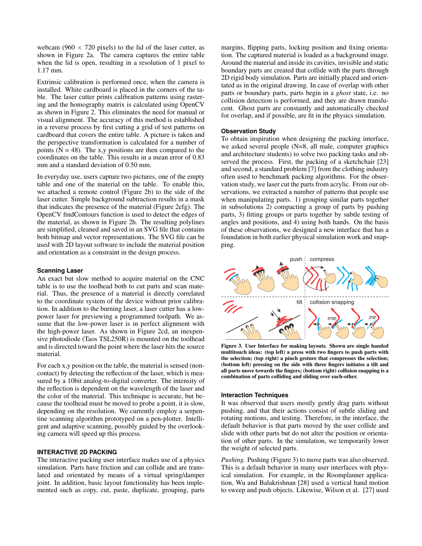webcam (960  $\times$  720 pixels) to the lid of the laser cutter, as shown in Figure [2a](#page-1-0). The camera captures the entire table when the lid is open, resulting in a resolution of 1 pixel to 1.17 mm.

Extrinsic calibration is performed once, when the camera is installed. White cardboard is placed in the corners of the table. The laser cutter prints calibration patterns using rastering and the homography matrix is calculated using OpenCV as shown in Figure [2.](#page-1-0) This eliminates the need for manual or visual alignment. The accuracy of this method is established in a reverse process by first cutting a grid of test patterns on cardboard that covers the entire table. A picture is taken and the perspective transformation is calculated for a number of points ( $N = 48$ ). The x,y positions are then compared to the coordinates on the table. This results in a mean error of 0.83 mm and a standard deviation of 0.50 mm.

In everyday use, users capture two pictures, one of the empty table and one of the material on the table. To enable this, we attached a remote control (Figure [2b](#page-1-0)) to the side of the laser cutter. Simple background subtraction results in a mask that indicates the presence of the material (Figure [2e](#page-1-0)fg). The OpenCV findContours function is used to detect the edges of the material, as shown in Figure [2h](#page-1-0). The resulting polylines are simplified, cleaned and saved in an SVG file that contains both bitmap and vector representations. The SVG file can be used with 2D layout software to include the material position and orientation as a constraint in the design process.

## **Scanning Laser**

An exact but slow method to acquire material on the CNC table is to use the toolhead both to cut parts and scan material. Thus, the presence of a material is directly correlated to the coordinate system of the device without prior calibration. In addition to the burning laser, a laser cutter has a lowpower laser for previewing a programmed toolpath. We assume that the low-power laser is in perfect alignment with the high-power laser. As shown in Figure [2c](#page-1-0)d, an inexpensive photodiode (Taos TSL250R) is mounted on the toolhead and is directed toward the point where the laser hits the source material.

For each x,y position on the table, the material is sensed (noncontact) by detecting the reflection of the laser, which is measured by a 10bit analog-to-digital converter. The intensity of the reflection is dependent on the wavelength of the laser and the color of the material. This technique is accurate, but because the toolhead must be moved to probe a point, it is slow, depending on the resolution. We currently employ a serpentine scanning algorithm prototyped on a pen-plotter. Intelligent and adaptive scanning, possibly guided by the overlooking camera will speed up this process.

# **INTERACTIVE 2D PACKING**

The interactive packing user interface makes use of a physics simulation. Parts have friction and can collide and are translated and orientated by means of a virtual spring/damper joint. In addition, basic layout functionality has been implemented such as copy, cut, paste, duplicate, grouping, parts margins, flipping parts, locking position and fixing orientation. The captured material is loaded as a background image. Around the material and inside its cavities, invisible and static boundary parts are created that collide with the parts through 2D rigid body simulation. Parts are initially placed and orientated as in the original drawing. In case of overlap with other parts or boundary parts, parts begin in a *ghost* state, i.e. no collision detection is performed, and they are drawn translucent. Ghost parts are constantly and automatically checked for overlap, and if possible, are fit in the physics simulation.

### **Observation Study**

To obtain inspiration when designing the packing interface, we asked several people (N=8, all male, computer graphics and architecture students) to solve two packing tasks and observed the process. First, the packing of a sketchchair [\[23\]](#page-5-9) and second, a standard problem [\[7\]](#page-5-1) from the clothing industry often used to benchmark packing algorithms. For the observation study, we laser cut the parts from acrylic. From our observations, we extracted a number of patterns that people use when manipulating parts. 1) grouping similar parts together in subsolutions 2) compacting a group of parts by pushing parts, 3) fitting groups or parts together by subtle testing of angles and positions, and 4) using both hands. On the basis of these observations, we designed a new interface that has a foundation in both earlier physical simulation work and snapping.



<span id="page-2-0"></span>Figure 3. User Interface for making layouts. Shown are single handed multitouch ideas: (top left) a press with two fingers to push parts with the selection; (top right) a pinch gesture that compresses the selection; (bottom left) pressing on the side with three fingers initiates a tilt and all parts move towards the fingers; (bottom right) collision snapping is a combination of parts colliding and sliding over each-other.

### **Interaction Techniques**

It was observed that users mostly gently drag parts without pushing, and that their actions consist of subtle sliding and rotating motions, and testing. Therefore, in the interface, the default behavior is that parts moved by the user collide and slide with other parts but do not alter the position or orientation of other parts. In the simulation, we temporarily lower the weight of selected parts.

*Pushing.* Pushing (Figure [3\)](#page-2-0) to move parts was also observed. This is a default behavior in many user interfaces with physical simulation. For example, in the Roomplanner application, Wu and Balakrishnan [\[28\]](#page-5-24) used a vertical hand motion to sweep and push objects. Likewise, Wilson et al. [\[27\]](#page-5-23) used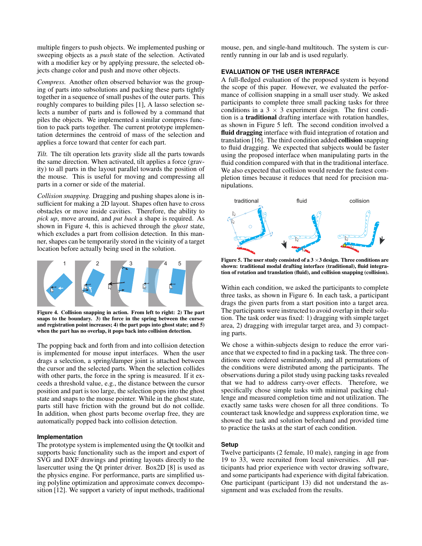multiple fingers to push objects. We implemented pushing or sweeping objects as a *push* state of the selection. Activated with a modifier key or by applying pressure, the selected objects change color and push and move other objects.

*Compress.* Another often observed behavior was the grouping of parts into subsolutions and packing these parts tightly together in a sequence of small pushes of the outer parts. This roughly compares to building piles [\[1\]](#page-5-22), A lasso selection selects a number of parts and is followed by a command that piles the objects. We implemented a similar compress function to pack parts together. The current prototype implementation determines the centroid of mass of the selection and applies a force toward that center for each part.

*Tilt.* The tilt operation lets gravity slide all the parts towards the same direction. When activated, tilt applies a force (gravity) to all parts in the layout parallel towards the position of the mouse. This is useful for moving and compressing all parts in a corner or side of the material.

*Collision snapping.* Dragging and pushing shapes alone is insufficient for making a 2D layout. Shapes often have to cross obstacles or move inside cavities. Therefore, the ability to *pick up*, move around, and *put back* a shape is required. As shown in Figure [4,](#page-3-0) this is achieved through the *ghost* state, which excludes a part from collision detection. In this manner, shapes can be temporarily stored in the vicinity of a target location before actually being used in the solution.



<span id="page-3-0"></span>Figure 4. Collision snapping in action. From left to right: 2) The part snaps to the boundary. 3) the force in the spring between the cursor and registration point increases; 4) the part pops into ghost state; and 5) when the part has no overlap, it pops back into collision detection.

The popping back and forth from and into collision detection is implemented for mouse input interfaces. When the user drags a selection, a spring/damper joint is attached between the cursor and the selected parts. When the selection collides with other parts, the force in the spring is measured. If it exceeds a threshold value, e.g., the distance between the cursor position and part is too large, the selection pops into the ghost state and snaps to the mouse pointer. While in the ghost state, parts still have friction with the ground but do not collide. In addition, when ghost parts become overlap free, they are automatically popped back into collision detection.

# **Implementation**

The prototype system is implemented using the Qt toolkit and supports basic functionality such as the import and export of SVG and DXF drawings and printing layouts directly to the lasercutter using the Qt printer driver. Box2D [\[8\]](#page-5-28) is used as the physics engine. For performance, parts are simplified using polyline optimization and approximate convex decomposition [\[12\]](#page-5-29). We support a variety of input methods, traditional mouse, pen, and single-hand multitouch. The system is currently running in our lab and is used regularly.

# **EVALUATION OF THE USER INTERFACE**

A full-fledged evaluation of the proposed system is beyond the scope of this paper. However, we evaluated the performance of collision snapping in a small user study. We asked participants to complete three small packing tasks for three conditions in a  $3 \times 3$  experiment design. The first condition is a traditional drafting interface with rotation handles, as shown in Figure [5](#page-3-1) left. The second condition involved a fluid dragging interface with fluid integration of rotation and translation [\[16\]](#page-5-21). The third condition added collision snapping to fluid dragging. We expected that subjects would be faster using the proposed interface when manipulating parts in the fluid condition compared with that in the traditional interface. We also expected that collision would render the fastest completion times because it reduces that need for precision manipulations.



<span id="page-3-1"></span>Figure 5. The user study consisted of a  $3 \times 3$  design. Three conditions are shown: traditional modal drafting interface (traditional), fluid integration of rotation and translation (fluid), and collision snapping (collision).

Within each condition, we asked the participants to complete three tasks, as shown in Figure [6.](#page-4-0) In each task, a participant drags the given parts from a start position into a target area. The participants were instructed to avoid overlap in their solution. The task order was fixed: 1) dragging with simple target area, 2) dragging with irregular target area, and 3) compacting parts.

We chose a within-subjects design to reduce the error variance that we expected to find in a packing task. The three conditions were ordered semirandomly, and all permutations of the conditions were distributed among the participants. The observations during a pilot study using packing tasks revealed that we had to address carry-over effects. Therefore, we specifically chose simple tasks with minimal packing challenge and measured completion time and not utilization. The exactly same tasks were chosen for all three conditions. To counteract task knowledge and suppress exploration time, we showed the task and solution beforehand and provided time to practice the tasks at the start of each condition.

# **Setup**

Twelve participants (2 female, 10 male), ranging in age from 19 to 33, were recruited from local universities. All participants had prior experience with vector drawing software, and some participants had experience with digital fabrication. One participant (participant 13) did not understand the assignment and was excluded from the results.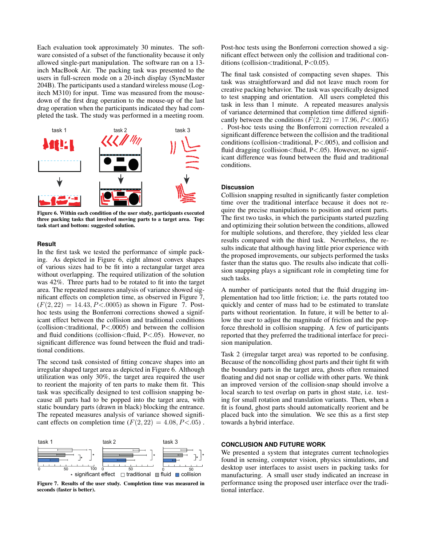Each evaluation took approximately 30 minutes. The software consisted of a subset of the functionality because it only allowed single-part manipulation. The software ran on a 13 inch MacBook Air. The packing task was presented to the users in full-screen mode on a 20-inch display (SyncMaster 204B). The participants used a standard wireless mouse (Logitech M310) for input. Time was measured from the mousedown of the first drag operation to the mouse-up of the last drag operation when the participants indicated they had completed the task. The study was performed in a meeting room.



<span id="page-4-0"></span>Figure 6. Within each condition of the user study, participants executed three packing tasks that involved moving parts to a target area. Top: task start and bottom: suggested solution.

## **Result**

In the first task we tested the performance of simple packing. As depicted in Figure [6,](#page-4-0) eight almost convex shapes of various sizes had to be fit into a rectangular target area without overlapping. The required utilization of the solution was 42%. Three parts had to be rotated to fit into the target area. The repeated measures analysis of variance showed significant effects on completion time, as observed in Figure [7,](#page-4-1)  $(F(2, 22) = 14.43, P < .0005)$  as shown in Figure [7.](#page-4-1) Posthoc tests using the Bonferroni corrections showed a significant effect between the collision and traditional conditions (collision*<*traditional, P*<*.0005) and between the collision and fluid conditions (collision*<*fluid, P*<*.05). However, no significant difference was found between the fluid and traditional conditions.

The second task consisted of fitting concave shapes into an irregular shaped target area as depicted in Figure [6.](#page-4-0) Although utilization was only 30%, the target area required the user to reorient the majority of ten parts to make them fit. This task was specifically designed to test collision snapping because all parts had to be popped into the target area, with static boundary parts (drawn in black) blocking the entrance. The repeated measures analysis of variance showed significant effects on completion time  $(F(2, 22) = 4.08, P < .05)$ .



<span id="page-4-1"></span>Figure 7. Results of the user study. Completion time was measured in seconds (faster is better).

Post-hoc tests using the Bonferroni correction showed a significant effect between only the collision and traditional conditions (collision*<*traditional, P*<*0.05).

The final task consisted of compacting seven shapes. This task was straightforward and did not leave much room for creative packing behavior. The task was specifically designed to test snapping and orientation. All users completed this task in less than 1 minute. A repeated measures analysis of variance determined that completion time differed significantly between the conditions  $(F(2, 22) = 17.96, P < .0005)$ . Post-hoc tests using the Bonferroni correction revealed a significant difference between the collision and the traditional conditions (collision*<*traditional, P*<*.005), and collision and fluid dragging (collision*<*fluid, P*<*.05). However, no significant difference was found between the fluid and traditional conditions.

#### **Discussion**

Collision snapping resulted in significantly faster completion time over the traditional interface because it does not require the precise manipulations to position and orient parts. The first two tasks, in which the participants started puzzling and optimizing their solution between the conditions, allowed for multiple solutions, and therefore, they yielded less clear results compared with the third task. Nevertheless, the results indicate that although having little prior experience with the proposed improvements, our subjects performed the tasks faster than the status quo. The results also indicate that collision snapping plays a significant role in completing time for such tasks.

A number of participants noted that the fluid dragging implementation had too little friction; i.e. the parts rotated too quickly and center of mass had to be estimated to translate parts without reorientation. In future, it will be better to allow the user to adjust the magnitude of friction and the popforce threshold in collision snapping. A few of participants reported that they preferred the traditional interface for precision manipulation.

Task 2 (irregular target area) was reported to be confusing. Because of the noncolliding ghost parts and their tight fit with the boundary parts in the target area, ghosts often remained floating and did not snap or collide with other parts. We think an improved version of the collision-snap should involve a local search to test overlap on parts in ghost state, i.e. testing for small rotation and translation variants. Then, when a fit is found, ghost parts should automatically reorient and be placed back into the simulation. We see this as a first step towards a hybrid interface.

# **CONCLUSION AND FUTURE WORK**

We presented a system that integrates current technologies found in sensing, computer vision, physics simulations, and desktop user interfaces to assist users in packing tasks for manufacturing. A small user study indicated an increase in performance using the proposed user interface over the traditional interface.